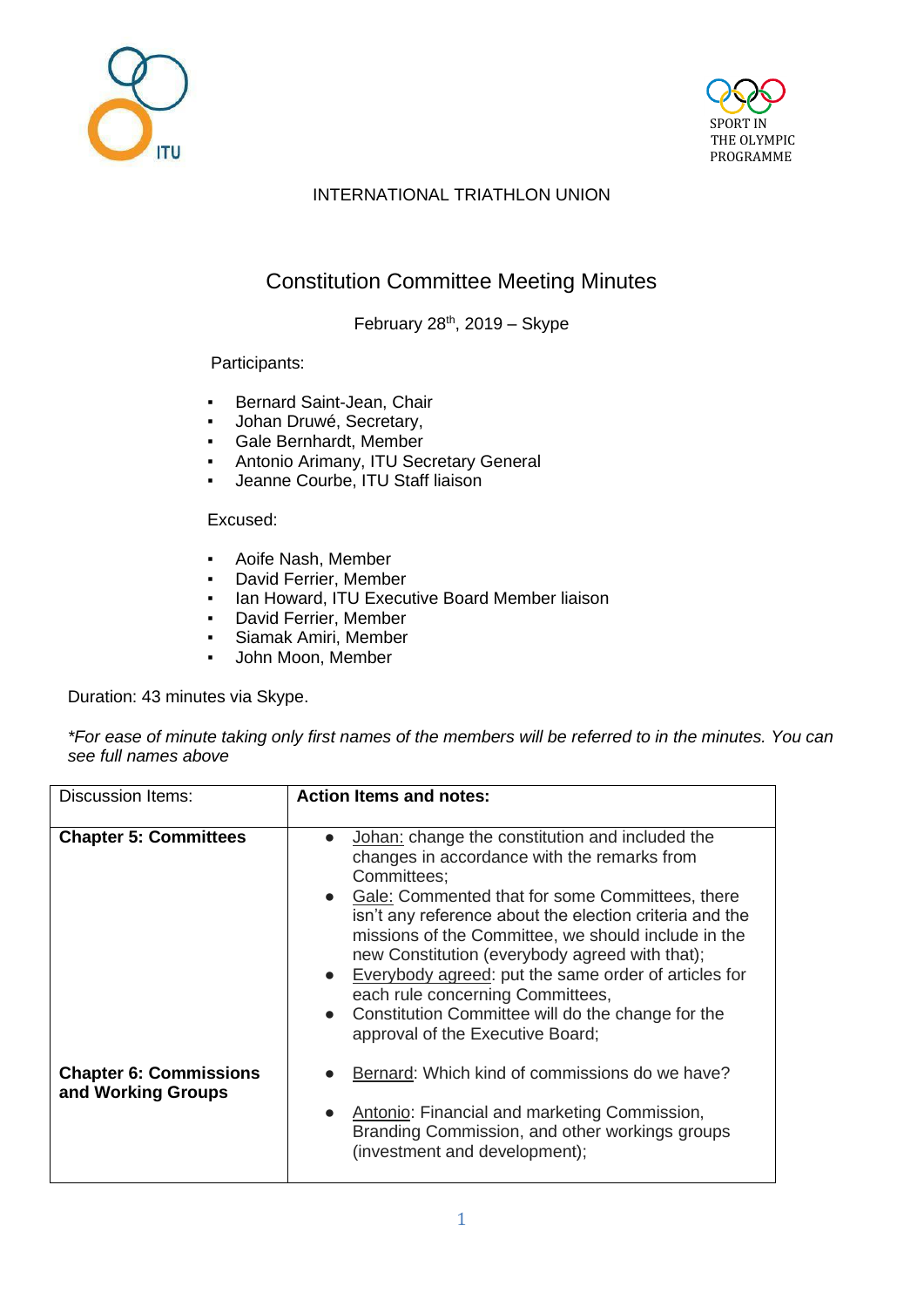



## INTERNATIONAL TRIATHLON UNION

# Constitution Committee Meeting Minutes

February  $28<sup>th</sup>$ , 2019 – Skype

#### Participants:

- Bernard Saint-Jean, Chair
- Johan Druwé, Secretary,
- Gale Bernhardt, Member
- Antonio Arimany, ITU Secretary General
- Jeanne Courbe, ITU Staff liaison

#### Excused:

- Aoife Nash, Member
- David Ferrier, Member
- **Ian Howard, ITU Executive Board Member liaison**<br>• David Ferrier Member
- David Ferrier, Member
- Siamak Amiri, Member
- John Moon, Member

Duration: 43 minutes via Skype.

*\*For ease of minute taking only first names of the members will be referred to in the minutes. You can see full names above*

| <b>Discussion Items:</b>                            | <b>Action Items and notes:</b>                                                                                                                                                                                                                                                                                                                                                                                                                                                                                                                                     |
|-----------------------------------------------------|--------------------------------------------------------------------------------------------------------------------------------------------------------------------------------------------------------------------------------------------------------------------------------------------------------------------------------------------------------------------------------------------------------------------------------------------------------------------------------------------------------------------------------------------------------------------|
| <b>Chapter 5: Committees</b>                        | Johan: change the constitution and included the<br>$\bullet$<br>changes in accordance with the remarks from<br>Committees:<br>• Gale: Commented that for some Committees, there<br>isn't any reference about the election criteria and the<br>missions of the Committee, we should include in the<br>new Constitution (everybody agreed with that);<br>Everybody agreed: put the same order of articles for<br>$\bullet$<br>each rule concerning Committees,<br>Constitution Committee will do the change for the<br>$\bullet$<br>approval of the Executive Board; |
| <b>Chapter 6: Commissions</b><br>and Working Groups | Bernard: Which kind of commissions do we have?<br>Antonio: Financial and marketing Commission,<br>$\bullet$<br>Branding Commission, and other workings groups<br>(investment and development);                                                                                                                                                                                                                                                                                                                                                                     |